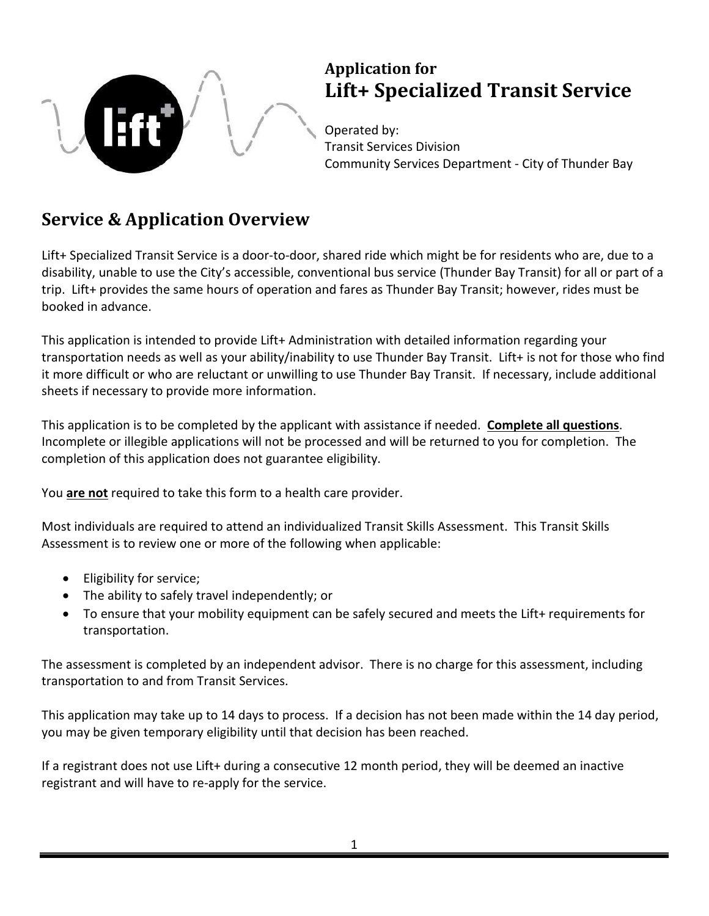

## **Application for Lift+ Specialized Transit Service**

Operated by: Transit Services Division Community Services Department - City of Thunder Bay

## **Service & Application Overview**

Lift+ Specialized Transit Service is a door-to-door, shared ride which might be for residents who are, due to a disability, unable to use the City's accessible, conventional bus service (Thunder Bay Transit) for all or part of a trip. Lift+ provides the same hours of operation and fares as Thunder Bay Transit; however, rides must be booked in advance.

This application is intended to provide Lift+ Administration with detailed information regarding your transportation needs as well as your ability/inability to use Thunder Bay Transit. Lift+ is not for those who find it more difficult or who are reluctant or unwilling to use Thunder Bay Transit. If necessary, include additional sheets if necessary to provide more information.

This application is to be completed by the applicant with assistance if needed. **Complete all questions**. Incomplete or illegible applications will not be processed and will be returned to you for completion. The completion of this application does not guarantee eligibility.

You **are not** required to take this form to a health care provider.

Most individuals are required to attend an individualized Transit Skills Assessment. This Transit Skills Assessment is to review one or more of the following when applicable:

- Eligibility for service;
- The ability to safely travel independently; or
- To ensure that your mobility equipment can be safely secured and meets the Lift+ requirements for transportation.

The assessment is completed by an independent advisor. There is no charge for this assessment, including transportation to and from Transit Services.

This application may take up to 14 days to process. If a decision has not been made within the 14 day period, you may be given temporary eligibility until that decision has been reached.

If a registrant does not use Lift+ during a consecutive 12 month period, they will be deemed an inactive registrant and will have to re-apply for the service.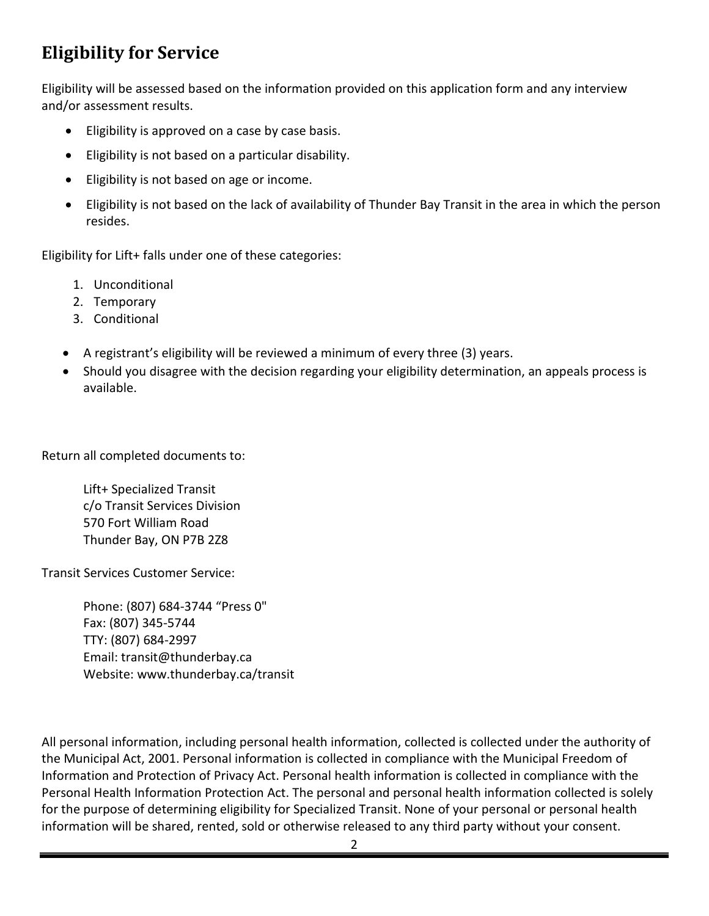## **Eligibility for Service**

Eligibility will be assessed based on the information provided on this application form and any interview and/or assessment results.

- Eligibility is approved on a case by case basis.
- Eligibility is not based on a particular disability.
- Eligibility is not based on age or income.
- Eligibility is not based on the lack of availability of Thunder Bay Transit in the area in which the person resides.

Eligibility for Lift+ falls under one of these categories:

- 1. Unconditional
- 2. Temporary
- 3. Conditional
- A registrant's eligibility will be reviewed a minimum of every three (3) years.
- Should you disagree with the decision regarding your eligibility determination, an appeals process is available.

Return all completed documents to:

Lift+ Specialized Transit c/o Transit Services Division 570 Fort William Road Thunder Bay, ON P7B 2Z8

Transit Services Customer Service:

Phone: (807) 684-3744 "Press 0" Fax: (807) 345-5744 TTY: (807) 684-2997 Email: transit@thunderbay.ca Website: www.thunderbay.ca/transit

All personal information, including personal health information, collected is collected under the authority of the Municipal Act, 2001. Personal information is collected in compliance with the Municipal Freedom of Information and Protection of Privacy Act. Personal health information is collected in compliance with the Personal Health Information Protection Act. The personal and personal health information collected is solely for the purpose of determining eligibility for Specialized Transit. None of your personal or personal health information will be shared, rented, sold or otherwise released to any third party without your consent.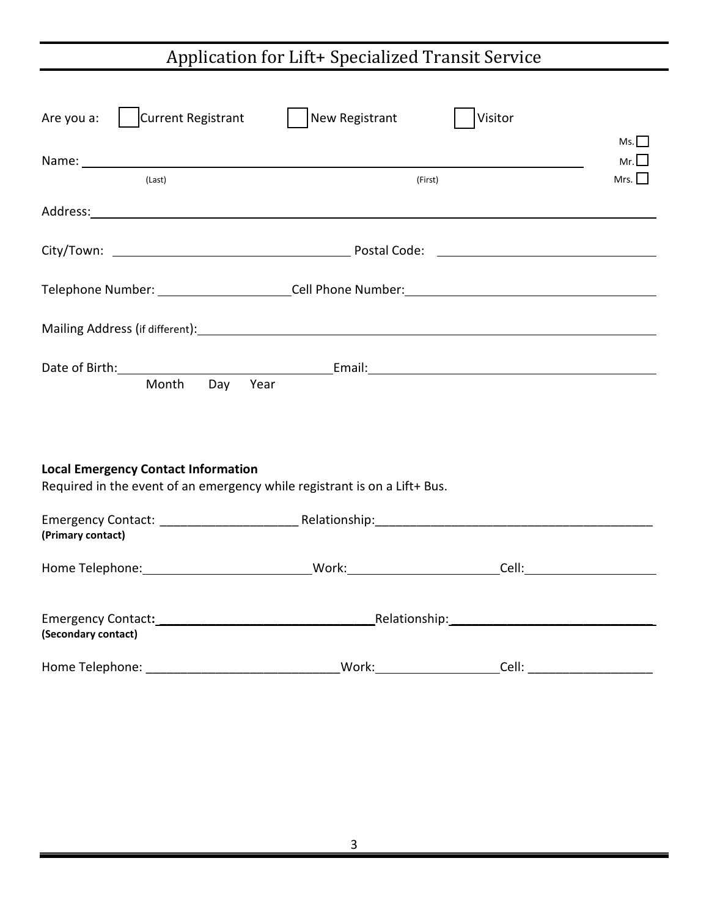# Application for Lift+ Specialized Transit Service

| Current Registrant<br>Are you a:                                                                                                     | New Registrant | Visitor                             | Ms.                                  |
|--------------------------------------------------------------------------------------------------------------------------------------|----------------|-------------------------------------|--------------------------------------|
| (Last)                                                                                                                               | (First)        |                                     | $Mr.$ $\vert$ $\vert$<br>Mrs. $\Box$ |
| Address: Address: Address: Address: Address: Address: Address: Address: Address: Address: Address: A                                 |                |                                     |                                      |
|                                                                                                                                      |                |                                     |                                      |
|                                                                                                                                      |                |                                     |                                      |
|                                                                                                                                      |                |                                     |                                      |
| Date of Birth: No. 2014 19:00 No. 2014 19:00 No. 2014 19:00 No. 2014 19:00 No. 2014 19:00 No. 2014 19:00 No. 20<br>Month Day<br>Year |                |                                     |                                      |
| <b>Local Emergency Contact Information</b><br>Required in the event of an emergency while registrant is on a Lift+ Bus.              |                |                                     |                                      |
| (Primary contact)                                                                                                                    |                |                                     |                                      |
|                                                                                                                                      |                |                                     |                                      |
| (Secondary contact)                                                                                                                  |                |                                     |                                      |
|                                                                                                                                      |                | <u>Cell: ______________________</u> |                                      |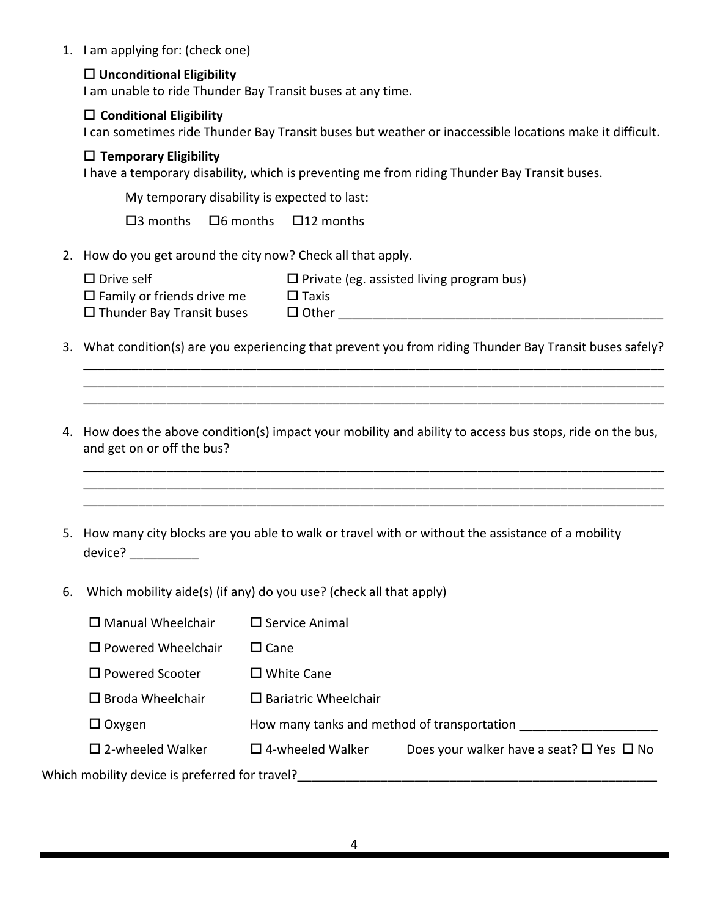1. I am applying for: (check one)

#### **Unconditional Eligibility**

I am unable to ride Thunder Bay Transit buses at any time.

#### **Conditional Eligibility**

I can sometimes ride Thunder Bay Transit buses but weather or inaccessible locations make it difficult.

#### **Temporary Eligibility**

I have a temporary disability, which is preventing me from riding Thunder Bay Transit buses.

My temporary disability is expected to last:

 $\square$ 3 months  $\square$ 6 months  $\square$ 12 months

2. How do you get around the city now? Check all that apply.

| $\square$ Drive self              | $\Box$ Private (eg. assisted living program bus) |
|-----------------------------------|--------------------------------------------------|
| $\Box$ Family or friends drive me | $\Box$ Taxis                                     |
| $\Box$ Thunder Bay Transit buses  | $\Box$ Other                                     |

3. What condition(s) are you experiencing that prevent you from riding Thunder Bay Transit buses safely?

\_\_\_\_\_\_\_\_\_\_\_\_\_\_\_\_\_\_\_\_\_\_\_\_\_\_\_\_\_\_\_\_\_\_\_\_\_\_\_\_\_\_\_\_\_\_\_\_\_\_\_\_\_\_\_\_\_\_\_\_\_\_\_\_\_\_\_\_\_\_\_\_\_\_\_\_\_\_\_\_\_\_\_\_ \_\_\_\_\_\_\_\_\_\_\_\_\_\_\_\_\_\_\_\_\_\_\_\_\_\_\_\_\_\_\_\_\_\_\_\_\_\_\_\_\_\_\_\_\_\_\_\_\_\_\_\_\_\_\_\_\_\_\_\_\_\_\_\_\_\_\_\_\_\_\_\_\_\_\_\_\_\_\_\_\_\_\_\_ \_\_\_\_\_\_\_\_\_\_\_\_\_\_\_\_\_\_\_\_\_\_\_\_\_\_\_\_\_\_\_\_\_\_\_\_\_\_\_\_\_\_\_\_\_\_\_\_\_\_\_\_\_\_\_\_\_\_\_\_\_\_\_\_\_\_\_\_\_\_\_\_\_\_\_\_\_\_\_\_\_\_\_\_

4. How does the above condition(s) impact your mobility and ability to access bus stops, ride on the bus, and get on or off the bus?

\_\_\_\_\_\_\_\_\_\_\_\_\_\_\_\_\_\_\_\_\_\_\_\_\_\_\_\_\_\_\_\_\_\_\_\_\_\_\_\_\_\_\_\_\_\_\_\_\_\_\_\_\_\_\_\_\_\_\_\_\_\_\_\_\_\_\_\_\_\_\_\_\_\_\_\_\_\_\_\_\_\_\_\_ \_\_\_\_\_\_\_\_\_\_\_\_\_\_\_\_\_\_\_\_\_\_\_\_\_\_\_\_\_\_\_\_\_\_\_\_\_\_\_\_\_\_\_\_\_\_\_\_\_\_\_\_\_\_\_\_\_\_\_\_\_\_\_\_\_\_\_\_\_\_\_\_\_\_\_\_\_\_\_\_\_\_\_\_ \_\_\_\_\_\_\_\_\_\_\_\_\_\_\_\_\_\_\_\_\_\_\_\_\_\_\_\_\_\_\_\_\_\_\_\_\_\_\_\_\_\_\_\_\_\_\_\_\_\_\_\_\_\_\_\_\_\_\_\_\_\_\_\_\_\_\_\_\_\_\_\_\_\_\_\_\_\_\_\_\_\_\_\_

- 5. How many city blocks are you able to walk or travel with or without the assistance of a mobility device? \_\_\_\_\_\_\_\_\_\_\_\_
- 6. Which mobility aide(s) (if any) do you use? (check all that apply)

| $\Box$ Manual Wheelchair                       | $\Box$ Service Animal                       |                                                          |  |  |  |
|------------------------------------------------|---------------------------------------------|----------------------------------------------------------|--|--|--|
| $\Box$ Powered Wheelchair                      | $\square$ Cane                              |                                                          |  |  |  |
| $\square$ Powered Scooter                      | $\square$ White Cane                        |                                                          |  |  |  |
| $\Box$ Broda Wheelchair                        | $\Box$ Bariatric Wheelchair                 |                                                          |  |  |  |
| $\Box$ Oxygen                                  | How many tanks and method of transportation |                                                          |  |  |  |
| $\square$ 2-wheeled Walker                     | $\square$ 4-wheeled Walker                  | Does your walker have a seat? $\square$ Yes $\square$ No |  |  |  |
| Which mobility device is preferred for travel? |                                             |                                                          |  |  |  |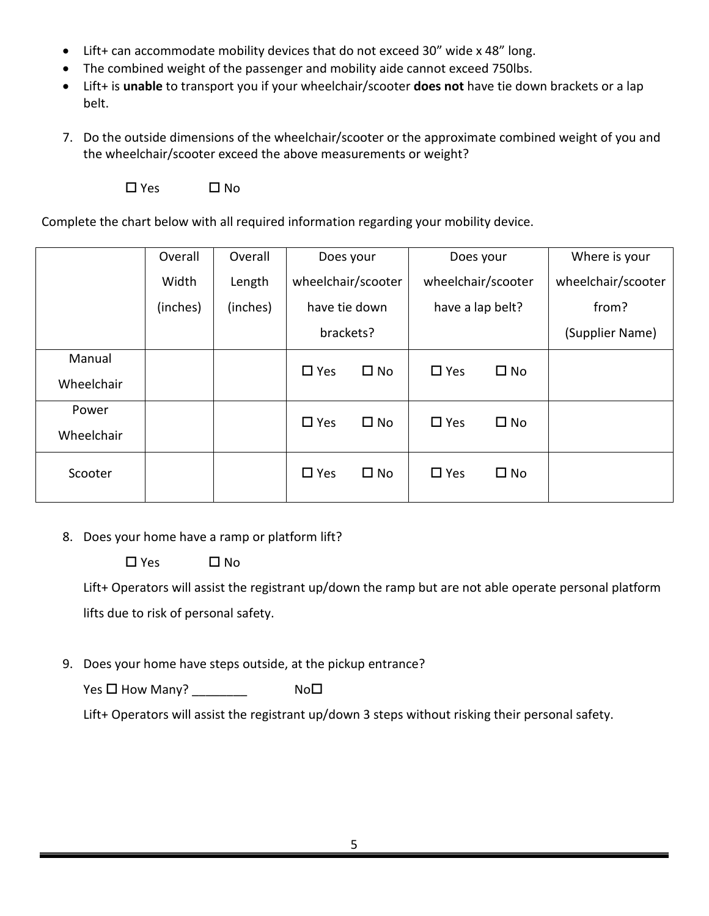- Lift+ can accommodate mobility devices that do not exceed 30" wide x 48" long.
- The combined weight of the passenger and mobility aide cannot exceed 750lbs.
- Lift+ is **unable** to transport you if your wheelchair/scooter **does not** have tie down brackets or a lap belt.
- 7. Do the outside dimensions of the wheelchair/scooter or the approximate combined weight of you and the wheelchair/scooter exceed the above measurements or weight?

 $\square$  Yes  $\square$  No

Complete the chart below with all required information regarding your mobility device.

|                      | Overall  | Overall  | Does your          |              |                    |              | Does your          |  | Where is your |
|----------------------|----------|----------|--------------------|--------------|--------------------|--------------|--------------------|--|---------------|
|                      | Width    | Length   | wheelchair/scooter |              | wheelchair/scooter |              | wheelchair/scooter |  |               |
|                      | (inches) | (inches) | have tie down      |              | have a lap belt?   |              | from?              |  |               |
|                      |          |          | brackets?          |              |                    |              | (Supplier Name)    |  |               |
| Manual<br>Wheelchair |          |          | $\square$ Yes      | $\square$ No | $\Box$ Yes         | $\square$ No |                    |  |               |
| Power<br>Wheelchair  |          |          | $\Box$ Yes         | $\square$ No | $\Box$ Yes         | $\square$ No |                    |  |               |
| Scooter              |          |          | $\Box$ Yes         | $\square$ No | $\Box$ Yes         | $\square$ No |                    |  |               |

8. Does your home have a ramp or platform lift?

 $\Box$  Yes  $\Box$  No

Lift+ Operators will assist the registrant up/down the ramp but are not able operate personal platform lifts due to risk of personal safety.

9. Does your home have steps outside, at the pickup entrance?

 $Yes \Box How \ Many?$  No $\Box$ 

Lift+ Operators will assist the registrant up/down 3 steps without risking their personal safety.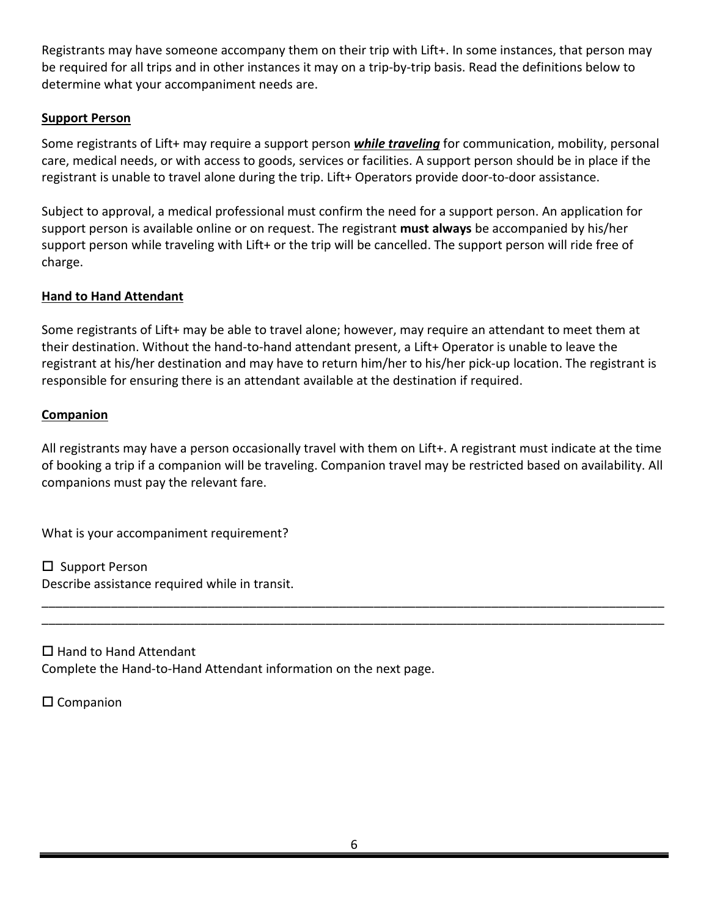Registrants may have someone accompany them on their trip with Lift+. In some instances, that person may be required for all trips and in other instances it may on a trip-by-trip basis. Read the definitions below to determine what your accompaniment needs are.

#### **Support Person**

Some registrants of Lift+ may require a support person *while traveling* for communication, mobility, personal care, medical needs, or with access to goods, services or facilities. A support person should be in place if the registrant is unable to travel alone during the trip. Lift+ Operators provide door-to-door assistance.

Subject to approval, a medical professional must confirm the need for a support person. An application for support person is available online or on request. The registrant **must always** be accompanied by his/her support person while traveling with Lift+ or the trip will be cancelled. The support person will ride free of charge.

#### **Hand to Hand Attendant**

Some registrants of Lift+ may be able to travel alone; however, may require an attendant to meet them at their destination. Without the hand-to-hand attendant present, a Lift+ Operator is unable to leave the registrant at his/her destination and may have to return him/her to his/her pick-up location. The registrant is responsible for ensuring there is an attendant available at the destination if required.

#### **Companion**

All registrants may have a person occasionally travel with them on Lift+. A registrant must indicate at the time of booking a trip if a companion will be traveling. Companion travel may be restricted based on availability. All companions must pay the relevant fare.

\_\_\_\_\_\_\_\_\_\_\_\_\_\_\_\_\_\_\_\_\_\_\_\_\_\_\_\_\_\_\_\_\_\_\_\_\_\_\_\_\_\_\_\_\_\_\_\_\_\_\_\_\_\_\_\_\_\_\_\_\_\_\_\_\_\_\_\_\_\_\_\_\_\_\_\_\_\_\_\_\_\_\_\_\_\_\_\_\_\_ \_\_\_\_\_\_\_\_\_\_\_\_\_\_\_\_\_\_\_\_\_\_\_\_\_\_\_\_\_\_\_\_\_\_\_\_\_\_\_\_\_\_\_\_\_\_\_\_\_\_\_\_\_\_\_\_\_\_\_\_\_\_\_\_\_\_\_\_\_\_\_\_\_\_\_\_\_\_\_\_\_\_\_\_\_\_\_\_\_\_

What is your accompaniment requirement?

 $\square$  Support Person Describe assistance required while in transit.

 $\Box$  Hand to Hand Attendant Complete the Hand-to-Hand Attendant information on the next page.

 $\square$  Companion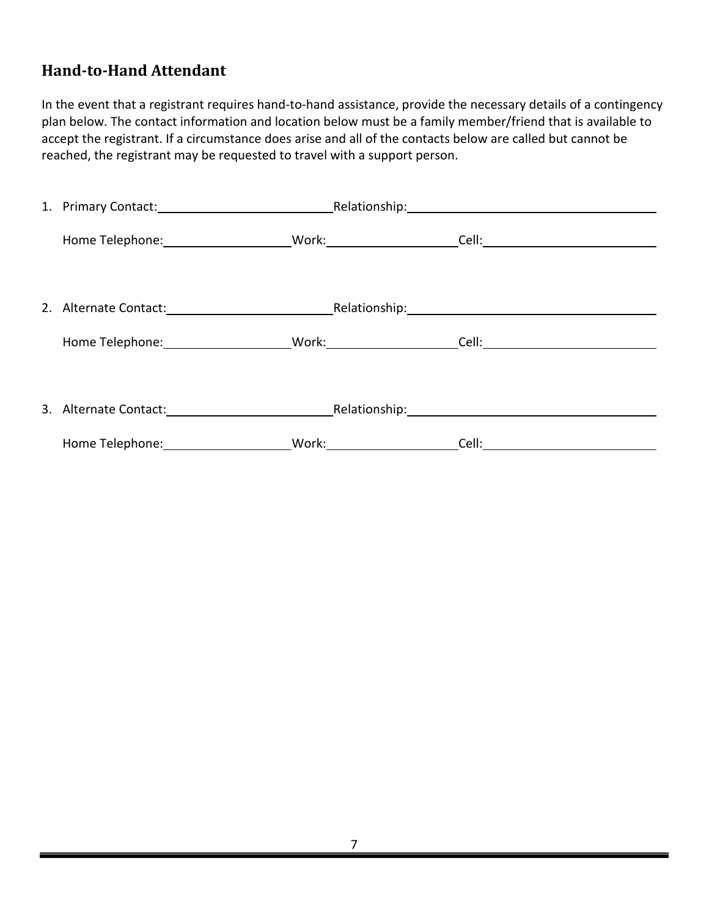### **Hand-to-Hand Attendant**

In the event that a registrant requires hand-to-hand assistance, provide the necessary details of a contingency plan below. The contact information and location below must be a family member/friend that is available to accept the registrant. If a circumstance does arise and all of the contacts below are called but cannot be reached, the registrant may be requested to travel with a support person.

| 1. Primary Contact: Notice and Alexander Relationship: Network and Alexander Alexander Contact:                                                                                                                                |  |  |
|--------------------------------------------------------------------------------------------------------------------------------------------------------------------------------------------------------------------------------|--|--|
| Home Telephone: _______________________Work: ______________________Cell: ___________________________                                                                                                                           |  |  |
| 2. Alternate Contact: National Relationship: National Relationship:                                                                                                                                                            |  |  |
| Home Telephone: Nork: Nork: Cell: Cell: Cell: Cell: Cell: Cell: Cell: Cell: Cell: Cell: Cell: Cell: Cell: Cell: Cell: Cell: Cell: Cell: Cell: Cell: Cell: Cell: Cell: Cell: Cell: Cell: Cell: Cell: Cell: Cell: Cell: Cell: Ce |  |  |
| 3. Alternate Contact: National Relationship: National Relationship:                                                                                                                                                            |  |  |
| Home Telephone: __________________________Work: ________________________________                                                                                                                                               |  |  |